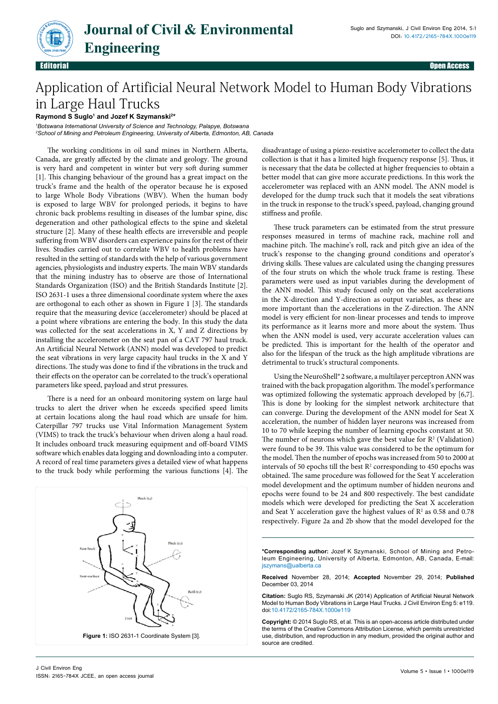

## Application of Artificial Neural Network Model to Human Body Vibrations in Large Haul Trucks

**Raymond S Suglo1 and Jozef K Szymanski2 \***

*1 Botswana International University of Science and Technology, Palapye, Botswana 2 School of Mining and Petroleum Engineering, University of Alberta, Edmonton, AB, Canada*

The working conditions in oil sand mines in Northern Alberta, Canada, are greatly affected by the climate and geology. The ground is very hard and competent in winter but very soft during summer [1]. This changing behaviour of the ground has a great impact on the truck's frame and the health of the operator because he is exposed to large Whole Body Vibrations (WBV). When the human body is exposed to large WBV for prolonged periods, it begins to have chronic back problems resulting in diseases of the lumbar spine, disc degeneration and other pathological effects to the spine and skeletal structure [2]. Many of these health effects are irreversible and people suffering from WBV disorders can experience pains for the rest of their lives. Studies carried out to correlate WBV to health problems have resulted in the setting of standards with the help of various government agencies, physiologists and industry experts. The main WBV standards that the mining industry has to observe are those of International Standards Organization (ISO) and the British Standards Institute [2]. ISO 2631-1 uses a three dimensional coordinate system where the axes are orthogonal to each other as shown in Figure 1 [3]. The standards require that the measuring device (accelerometer) should be placed at a point where vibrations are entering the body. In this study the data was collected for the seat accelerations in X, Y and Z directions by installing the accelerometer on the seat pan of a CAT 797 haul truck. An Artificial Neural Network (ANN) model was developed to predict the seat vibrations in very large capacity haul trucks in the X and Y directions. The study was done to find if the vibrations in the truck and their effects on the operator can be correlated to the truck's operational parameters like speed, payload and strut pressures.

There is a need for an onboard monitoring system on large haul trucks to alert the driver when he exceeds specified speed limits at certain locations along the haul road which are unsafe for him. Caterpillar 797 trucks use Vital Information Management System (VIMS) to track the truck's behaviour when driven along a haul road. It includes onboard truck measuring equipment and off-board VIMS software which enables data logging and downloading into a computer. A record of real time parameters gives a detailed view of what happens to the truck body while performing the various functions [4]. The



disadvantage of using a piezo-resistive accelerometer to collect the data collection is that it has a limited high frequency response [5]. Thus, it is necessary that the data be collected at higher frequencies to obtain a better model that can give more accurate predictions. In this work the accelerometer was replaced with an ANN model. The ANN model is developed for the dump truck such that it models the seat vibrations in the truck in response to the truck's speed, payload, changing ground stiffness and profile.

These truck parameters can be estimated from the strut pressure responses measured in terms of machine rack, machine roll and machine pitch. The machine's roll, rack and pitch give an idea of the truck's response to the changing ground conditions and operator's driving skills. These values are calculated using the changing pressures of the four struts on which the whole truck frame is resting. These parameters were used as input variables during the development of the ANN model. This study focused only on the seat accelerations in the X-direction and Y-direction as output variables, as these are more important than the accelerations in the Z-direction. The ANN model is very efficient for non-linear processes and tends to improve its performance as it learns more and more about the system. Thus when the ANN model is used, very accurate acceleration values can be predicted. This is important for the health of the operator and also for the lifespan of the truck as the high amplitude vibrations are detrimental to truck's structural components.

Using the NeuroShell® 2 software, a multilayer perceptron ANN was trained with the back propagation algorithm. The model's performance was optimized following the systematic approach developed by [6,7]. This is done by looking for the simplest network architecture that can converge. During the development of the ANN model for Seat X acceleration, the number of hidden layer neurons was increased from 10 to 70 while keeping the number of learning epochs constant at 50. The number of neurons which gave the best value for  $R^2$  (Validation) were found to be 39. This value was considered to be the optimum for the model. Then the number of epochs was increased from 50 to 2000 at intervals of 50 epochs till the best  $R<sup>2</sup>$  corresponding to 450 epochs was obtained. The same procedure was followed for the Seat Y acceleration model development and the optimum number of hidden neurons and epochs were found to be 24 and 800 respectively. The best candidate models which were developed for predicting the Seat X acceleration and Seat Y acceleration gave the highest values of  $\mathbb{R}^2$  as 0.58 and 0.78 respectively. Figure 2a and 2b show that the model developed for the

**\*Corresponding author:** Jozef K Szymanski, School of Mining and Petroleum Engineering, University of Alberta, Edmonton, AB, Canada, E-mail: jszymans@ualberta.ca

**Received** November 28, 2014; **Accepted** November 29, 2014; **Published** December 03, 2014

**Citation:** Suglo RS, Szymanski JK (2014) Application of Artificial Neural Network Model to Human Body Vibrations in Large Haul Trucks. J Civil Environ Eng 5: e119. doi:10.4172/2165-784X.1000e119

**Copyright:** © 2014 Suglo RS, et al. This is an open-access article distributed under the terms of the Creative Commons Attribution License, which permits unrestricted use, distribution, and reproduction in any medium, provided the original author and source are credited.